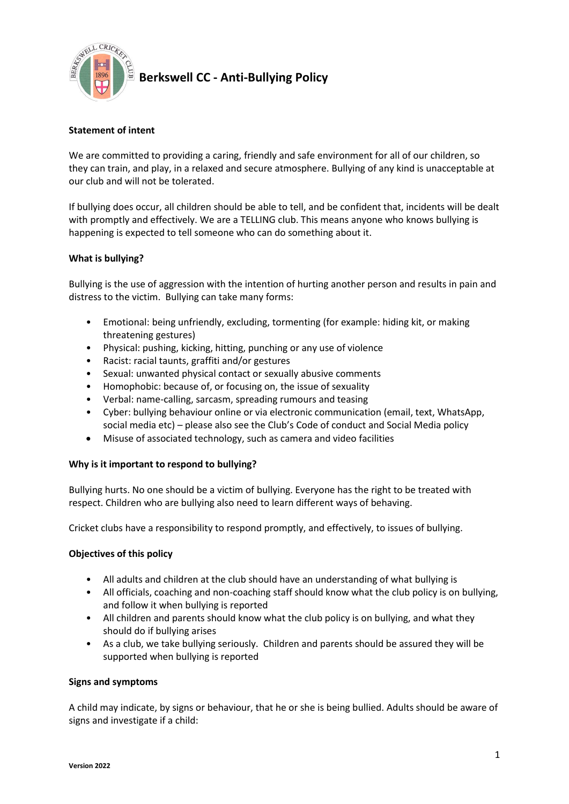

**Berkswell CC - Anti-Bullying Policy** 

# **Statement of intent**

We are committed to providing a caring, friendly and safe environment for all of our children, so they can train, and play, in a relaxed and secure atmosphere. Bullying of any kind is unacceptable at our club and will not be tolerated.

If bullying does occur, all children should be able to tell, and be confident that, incidents will be dealt with promptly and effectively. We are a TELLING club. This means anyone who knows bullying is happening is expected to tell someone who can do something about it.

## **What is bullying?**

Bullying is the use of aggression with the intention of hurting another person and results in pain and distress to the victim. Bullying can take many forms:

- Emotional: being unfriendly, excluding, tormenting (for example: hiding kit, or making threatening gestures)
- Physical: pushing, kicking, hitting, punching or any use of violence
- Racist: racial taunts, graffiti and/or gestures
- Sexual: unwanted physical contact or sexually abusive comments
- Homophobic: because of, or focusing on, the issue of sexuality
- Verbal: name-calling, sarcasm, spreading rumours and teasing
- Cyber: bullying behaviour online or via electronic communication (email, text, WhatsApp, social media etc) – please also see the Club's Code of conduct and Social Media policy
- Misuse of associated technology, such as camera and video facilities

## **Why is it important to respond to bullying?**

Bullying hurts. No one should be a victim of bullying. Everyone has the right to be treated with respect. Children who are bullying also need to learn different ways of behaving.

Cricket clubs have a responsibility to respond promptly, and effectively, to issues of bullying.

## **Objectives of this policy**

- All adults and children at the club should have an understanding of what bullying is
- All officials, coaching and non-coaching staff should know what the club policy is on bullying, and follow it when bullying is reported
- All children and parents should know what the club policy is on bullying, and what they should do if bullying arises
- As a club, we take bullying seriously. Children and parents should be assured they will be supported when bullying is reported

## **Signs and symptoms**

A child may indicate, by signs or behaviour, that he or she is being bullied. Adults should be aware of signs and investigate if a child: